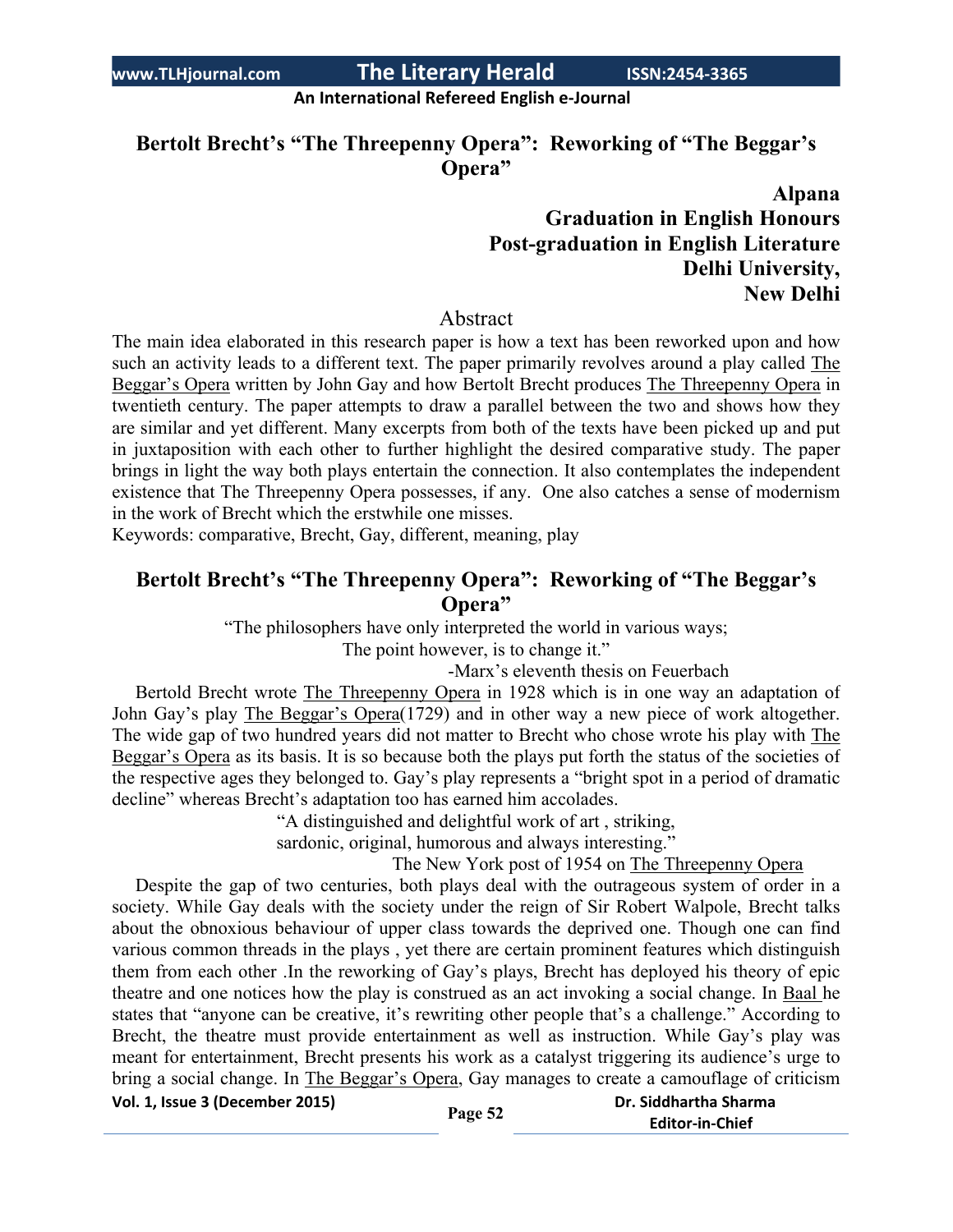**An International Refereed English e-Journal**

**Bertolt Brecht's "The Threepenny Opera": Reworking of "The Beggar's Opera"**

# **Alpana Graduation in English Honours Post-graduation in English Literature Delhi University, New Delhi**

### Abstract

The main idea elaborated in this research paper is how a text has been reworked upon and how such an activity leads to a different text. The paper primarily revolves around a play called The Beggar's Opera written by John Gay and how Bertolt Brecht produces The Threepenny Opera in twentieth century. The paper attempts to draw a parallel between the two and shows how they are similar and yet different. Many excerpts from both of the texts have been picked up and put in juxtaposition with each other to further highlight the desired comparative study. The paper brings in light the way both plays entertain the connection. It also contemplates the independent existence that The Threepenny Opera possesses, if any. One also catches a sense of modernism in the work of Brecht which the erstwhile one misses.

Keywords: comparative, Brecht, Gay, different, meaning, play

# **Bertolt Brecht's "The Threepenny Opera": Reworking of "The Beggar's Opera"**

"The philosophers have only interpreted the world in various ways;

The point however, is to change it."

-Marx's eleventh thesis on Feuerbach

 Bertold Brecht wrote The Threepenny Opera in 1928 which is in one way an adaptation of John Gay's play The Beggar's Opera(1729) and in other way a new piece of work altogether. The wide gap of two hundred years did not matter to Brecht who chose wrote his play with The Beggar's Opera as its basis. It is so because both the plays put forth the status of the societies of the respective ages they belonged to. Gay's play represents a "bright spot in a period of dramatic decline" whereas Brecht's adaptation too has earned him accolades.

"A distinguished and delightful work of art , striking,

sardonic, original, humorous and always interesting."

The New York post of 1954 on The Threepenny Opera

**Vol. 1, Issue <sup>3</sup> (December 2015) Page <sup>52</sup> Dr. Siddhartha Sharma** Despite the gap of two centuries, both plays deal with the outrageous system of order in a society. While Gay deals with the society under the reign of Sir Robert Walpole, Brecht talks about the obnoxious behaviour of upper class towards the deprived one. Though one can find various common threads in the plays , yet there are certain prominent features which distinguish them from each other .In the reworking of Gay's plays, Brecht has deployed his theory of epic theatre and one notices how the play is construed as an act invoking a social change. In Baal he states that "anyone can be creative, it's rewriting other people that's a challenge." According to Brecht, the theatre must provide entertainment as well as instruction. While Gay's play was meant for entertainment, Brecht presents his work as a catalyst triggering its audience's urge to bring a social change. In The Beggar's Opera, Gay manages to create a camouflage of criticism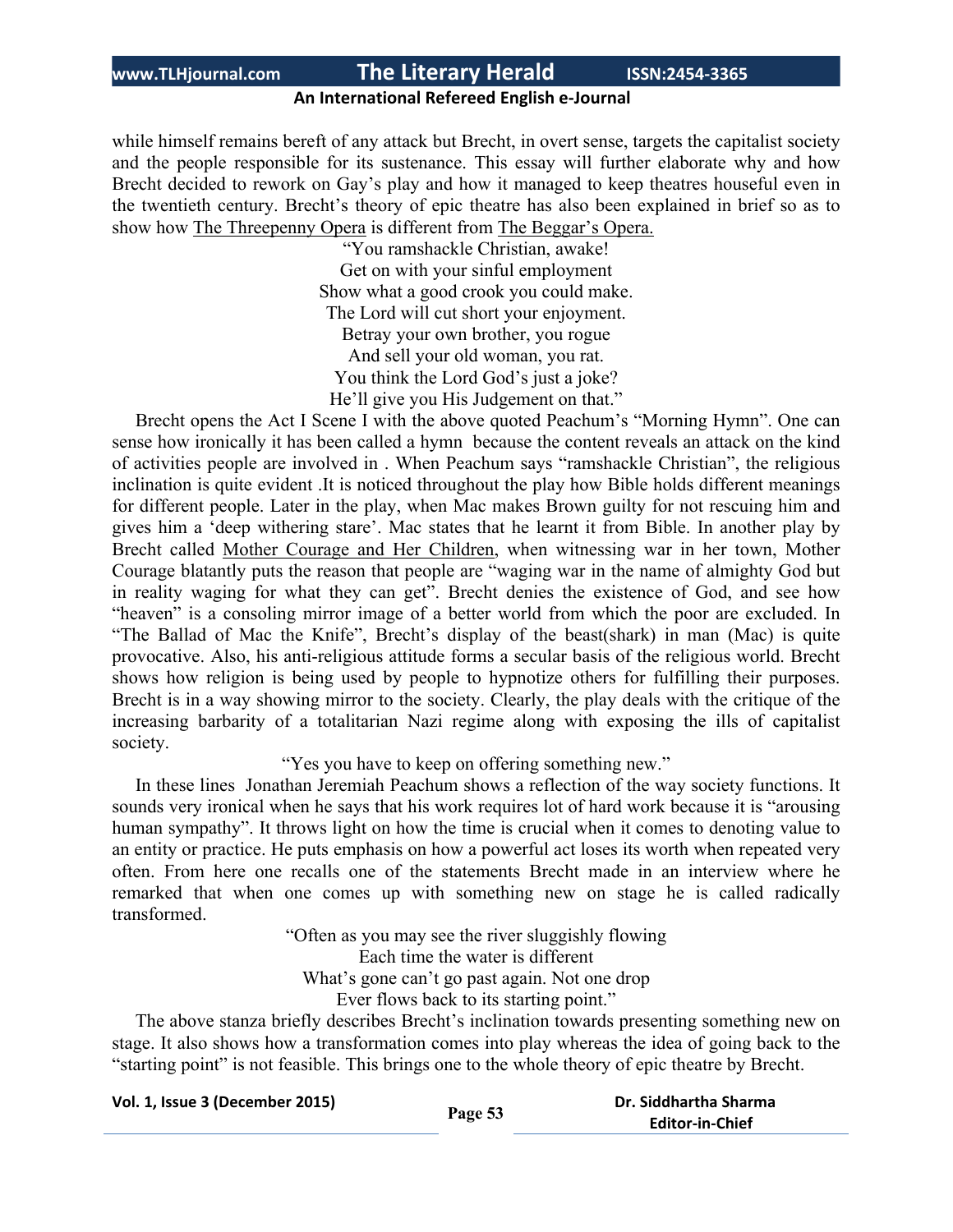## **An International Refereed English e-Journal**

while himself remains bereft of any attack but Brecht, in overt sense, targets the capitalist society and the people responsible for its sustenance. This essay will further elaborate why and how Brecht decided to rework on Gay's play and how it managed to keep theatres houseful even in the twentieth century. Brecht's theory of epic theatre has also been explained in brief so as to show how The Threepenny Opera is different from The Beggar's Opera.

> "You ramshackle Christian, awake! Get on with your sinful employment Show what a good crook you could make. The Lord will cut short your enjoyment. Betray your own brother, you rogue And sell your old woman, you rat. You think the Lord God's just a joke? He'll give you His Judgement on that."

 Brecht opens the Act I Scene I with the above quoted Peachum's "Morning Hymn". One can sense how ironically it has been called a hymn because the content reveals an attack on the kind of activities people are involved in . When Peachum says "ramshackle Christian", the religious inclination is quite evident .It is noticed throughout the play how Bible holds different meanings for different people. Later in the play, when Mac makes Brown guilty for not rescuing him and gives him a 'deep withering stare'. Mac states that he learnt it from Bible. In another play by Brecht called Mother Courage and Her Children, when witnessing war in her town, Mother Courage blatantly puts the reason that people are "waging war in the name of almighty God but in reality waging for what they can get". Brecht denies the existence of God, and see how "heaven" is a consoling mirror image of a better world from which the poor are excluded. In "The Ballad of Mac the Knife", Brecht's display of the beast(shark) in man (Mac) is quite provocative. Also, his anti-religious attitude forms a secular basis of the religious world. Brecht shows how religion is being used by people to hypnotize others for fulfilling their purposes. Brecht is in a way showing mirror to the society. Clearly, the play deals with the critique of the increasing barbarity of a totalitarian Nazi regime along with exposing the ills of capitalist society.

"Yes you have to keep on offering something new."

 In these lines Jonathan Jeremiah Peachum shows a reflection of the way society functions. It sounds very ironical when he says that his work requires lot of hard work because it is "arousing human sympathy". It throws light on how the time is crucial when it comes to denoting value to an entity or practice. He puts emphasis on how a powerful act loses its worth when repeated very often. From here one recalls one of the statements Brecht made in an interview where he remarked that when one comes up with something new on stage he is called radically transformed.

> "Often as you may see the river sluggishly flowing Each time the water is different What's gone can't go past again. Not one drop Ever flows back to its starting point."

 The above stanza briefly describes Brecht's inclination towards presenting something new on stage. It also shows how a transformation comes into play whereas the idea of going back to the "starting point" is not feasible. This brings one to the whole theory of epic theatre by Brecht.

| Vol. 1, Issue 3 (December 2015) | Page 53 | Dr. Siddhartha Sharma  |
|---------------------------------|---------|------------------------|
|                                 |         | <b>Editor-in-Chief</b> |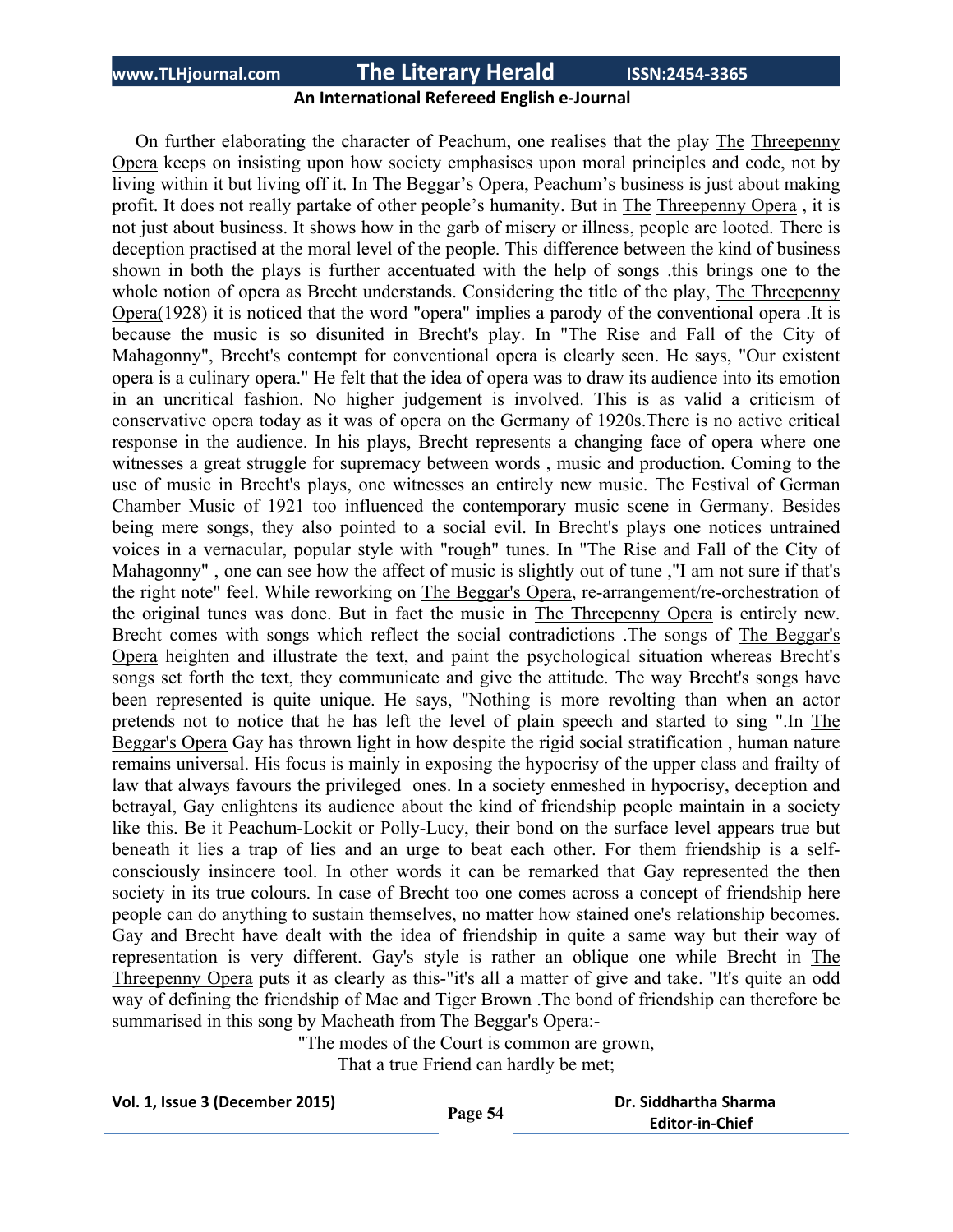### **An International Refereed English e-Journal**

 On further elaborating the character of Peachum, one realises that the play The Threepenny Opera keeps on insisting upon how society emphasises upon moral principles and code, not by living within it but living off it. In The Beggar's Opera, Peachum's business is just about making profit. It does not really partake of other people's humanity. But in The Threepenny Opera , it is not just about business. It shows how in the garb of misery or illness, people are looted. There is deception practised at the moral level of the people. This difference between the kind of business shown in both the plays is further accentuated with the help of songs .this brings one to the whole notion of opera as Brecht understands. Considering the title of the play, The Threepenny Opera(1928) it is noticed that the word "opera" implies a parody of the conventional opera .It is because the music is so disunited in Brecht's play. In "The Rise and Fall of the City of Mahagonny", Brecht's contempt for conventional opera is clearly seen. He says, "Our existent opera is a culinary opera." He felt that the idea of opera was to draw its audience into its emotion in an uncritical fashion. No higher judgement is involved. This is as valid a criticism of conservative opera today as it was of opera on the Germany of 1920s.There is no active critical response in the audience. In his plays, Brecht represents a changing face of opera where one witnesses a great struggle for supremacy between words , music and production. Coming to the use of music in Brecht's plays, one witnesses an entirely new music. The Festival of German Chamber Music of 1921 too influenced the contemporary music scene in Germany. Besides being mere songs, they also pointed to a social evil. In Brecht's plays one notices untrained voices in a vernacular, popular style with "rough" tunes. In "The Rise and Fall of the City of Mahagonny" , one can see how the affect of music is slightly out of tune ,"I am not sure if that's the right note" feel. While reworking on The Beggar's Opera, re-arrangement/re-orchestration of the original tunes was done. But in fact the music in The Threepenny Opera is entirely new. Brecht comes with songs which reflect the social contradictions .The songs of The Beggar's Opera heighten and illustrate the text, and paint the psychological situation whereas Brecht's songs set forth the text, they communicate and give the attitude. The way Brecht's songs have been represented is quite unique. He says, "Nothing is more revolting than when an actor pretends not to notice that he has left the level of plain speech and started to sing ".In The Beggar's Opera Gay has thrown light in how despite the rigid social stratification , human nature remains universal. His focus is mainly in exposing the hypocrisy of the upper class and frailty of law that always favours the privileged ones. In a society enmeshed in hypocrisy, deception and betrayal, Gay enlightens its audience about the kind of friendship people maintain in a society like this. Be it Peachum-Lockit or Polly-Lucy, their bond on the surface level appears true but beneath it lies a trap of lies and an urge to beat each other. For them friendship is a selfconsciously insincere tool. In other words it can be remarked that Gay represented the then society in its true colours. In case of Brecht too one comes across a concept of friendship here people can do anything to sustain themselves, no matter how stained one's relationship becomes. Gay and Brecht have dealt with the idea of friendship in quite a same way but their way of representation is very different. Gay's style is rather an oblique one while Brecht in The Threepenny Opera puts it as clearly as this-"it's all a matter of give and take. "It's quite an odd way of defining the friendship of Mac and Tiger Brown .The bond of friendship can therefore be summarised in this song by Macheath from The Beggar's Opera:-

"The modes of the Court is common are grown,

That a true Friend can hardly be met;

| Vol. 1, Issue 3 (December 2015) | Page 54 | Dr. Siddhartha Sharma  |
|---------------------------------|---------|------------------------|
|                                 |         | <b>Editor-in-Chief</b> |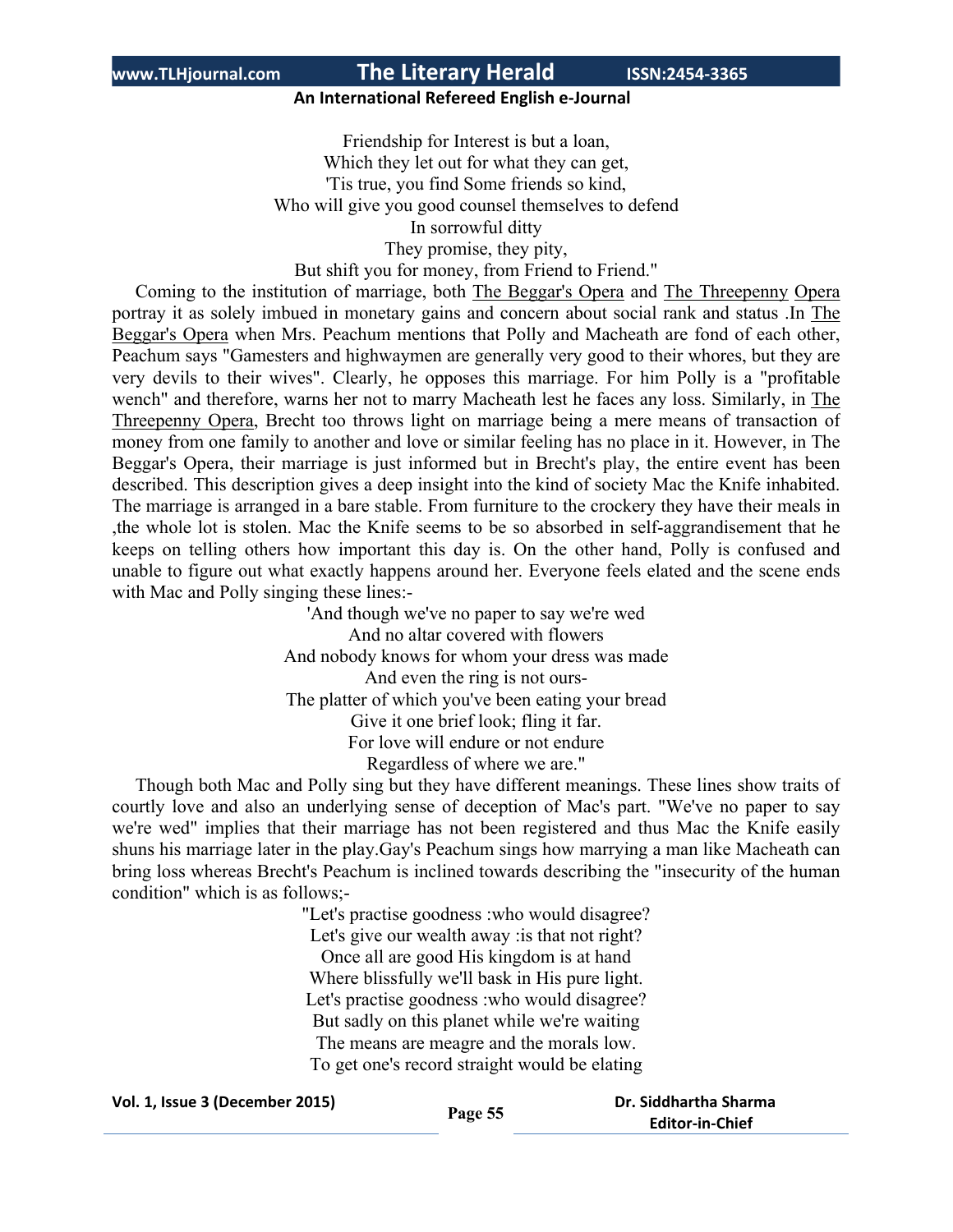### **An International Refereed English e-Journal**

Friendship for Interest is but a loan, Which they let out for what they can get, 'Tis true, you find Some friends so kind, Who will give you good counsel themselves to defend In sorrowful ditty They promise, they pity, But shift you for money, from Friend to Friend."

 Coming to the institution of marriage, both The Beggar's Opera and The Threepenny Opera portray it as solely imbued in monetary gains and concern about social rank and status .In The Beggar's Opera when Mrs. Peachum mentions that Polly and Macheath are fond of each other, Peachum says "Gamesters and highwaymen are generally very good to their whores, but they are very devils to their wives". Clearly, he opposes this marriage. For him Polly is a "profitable wench" and therefore, warns her not to marry Macheath lest he faces any loss. Similarly, in The Threepenny Opera, Brecht too throws light on marriage being a mere means of transaction of money from one family to another and love or similar feeling has no place in it. However, in The Beggar's Opera, their marriage is just informed but in Brecht's play, the entire event has been described. This description gives a deep insight into the kind of society Mac the Knife inhabited. The marriage is arranged in a bare stable. From furniture to the crockery they have their meals in ,the whole lot is stolen. Mac the Knife seems to be so absorbed in self-aggrandisement that he keeps on telling others how important this day is. On the other hand, Polly is confused and unable to figure out what exactly happens around her. Everyone feels elated and the scene ends with Mac and Polly singing these lines:-

> 'And though we've no paper to say we're wed And no altar covered with flowers And nobody knows for whom your dress was made And even the ring is not ours-The platter of which you've been eating your bread Give it one brief look; fling it far. For love will endure or not endure Regardless of where we are."

 Though both Mac and Polly sing but they have different meanings. These lines show traits of courtly love and also an underlying sense of deception of Mac's part. "We've no paper to say we're wed" implies that their marriage has not been registered and thus Mac the Knife easily shuns his marriage later in the play.Gay's Peachum sings how marrying a man like Macheath can bring loss whereas Brecht's Peachum is inclined towards describing the "insecurity of the human condition" which is as follows;-

> "Let's practise goodness :who would disagree? Let's give our wealth away : is that not right? Once all are good His kingdom is at hand Where blissfully we'll bask in His pure light. Let's practise goodness :who would disagree? But sadly on this planet while we're waiting The means are meagre and the morals low. To get one's record straight would be elating

**Vol. 1, Issue <sup>3</sup> (December 2015) Page <sup>55</sup> Dr. Siddhartha Sharma Editor-in-Chief**